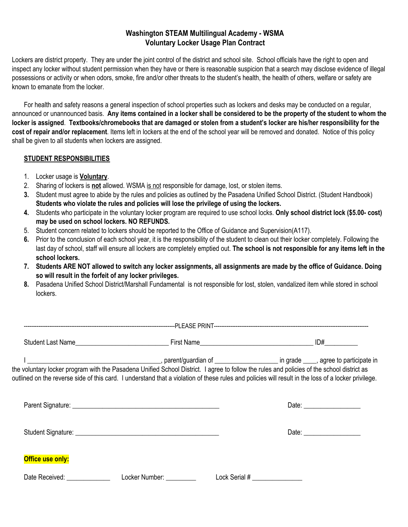## **Washington STEAM Multilingual Academy - WSMA Voluntary Locker Usage Plan Contract**

Lockers are district property. They are under the joint control of the district and school site. School officials have the right to open and inspect any locker without student permission when they have or there is reasonable suspicion that a search may disclose evidence of illegal possessions or activity or when odors, smoke, fire and/or other threats to the student's health, the health of others, welfare or safety are known to emanate from the locker.

For health and safety reasons a general inspection of school properties such as lockers and desks may be conducted on a regular, announced or unannounced basis. Any items contained in a locker shall be considered to be the property of the student to whom the locker is assigned. Textbooks/chromebooks that are damaged or stolen from a student's locker are his/her responsibility for the **cost of repair and/or replacement**. Items left in lockers at the end of the school year will be removed and donated. Notice of this policy shall be given to all students when lockers are assigned.

## **STUDENT RESPONSIBILITIES**

- 1. Locker usage is **Voluntary**.
- 2. Sharing of lockers is **not** allowed. WSMA is not responsible for damage, lost, or stolen items.
- **3.** Student must agree to abide by the rules and policies as outlined by the Pasadena Unified School District. (Student Handbook) **Students who violate the rules and policies will lose the privilege of using the lockers.**
- **4.** Students who participate in the voluntary locker program are required to use school locks. **Only school district lock (\$5.00- cost) may be used on school lockers. NO REFUNDS.**
- 5. Student concern related to lockers should be reported to the Office of Guidance and Supervision(A117).
- **6.** Prior to the conclusion of each school year, it is the responsibility of the student to clean out their locker completely. Following the last day of school, staff will ensure all lockers are completely emptied out. **The school is not responsible for any items left in the school lockers.**
- 7. Students ARE NOT allowed to switch any locker assignments, all assignments are made by the office of Guidance. Doing **so will result in the forfeit of any locker privileges.**
- **8.** Pasadena Unified School District/Marshall Fundamental is not responsible for lost, stolen, vandalized item while stored in school lockers.

|                  | the voluntary locker program with the Pasadena Unified School District. I agree to follow the rules and policies of the school district as<br>outlined on the reverse side of this card. I understand that a violation of these rules and policies will result in the loss of a locker privilege. |
|------------------|---------------------------------------------------------------------------------------------------------------------------------------------------------------------------------------------------------------------------------------------------------------------------------------------------|
|                  |                                                                                                                                                                                                                                                                                                   |
|                  |                                                                                                                                                                                                                                                                                                   |
| Office use only: |                                                                                                                                                                                                                                                                                                   |
|                  |                                                                                                                                                                                                                                                                                                   |